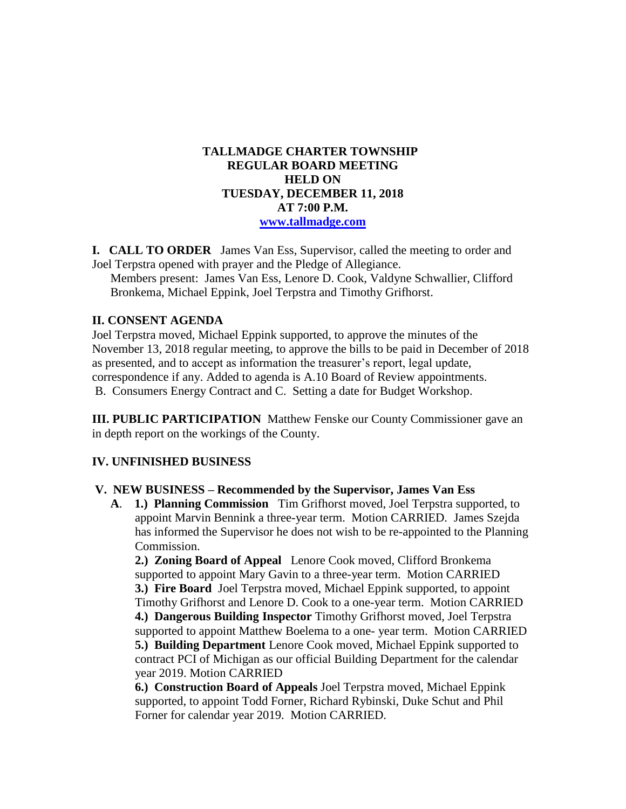### **TALLMADGE CHARTER TOWNSHIP REGULAR BOARD MEETING HELD ON TUESDAY, DECEMBER 11, 2018 AT 7:00 P.M. [www.tallmadge.com](http://www.tallmadge.com/)**

**I. CALL TO ORDER** James Van Ess, Supervisor, called the meeting to order and Joel Terpstra opened with prayer and the Pledge of Allegiance.

Members present: James Van Ess, Lenore D. Cook, Valdyne Schwallier, Clifford Bronkema, Michael Eppink, Joel Terpstra and Timothy Grifhorst.

### **II. CONSENT AGENDA**

Joel Terpstra moved, Michael Eppink supported, to approve the minutes of the November 13, 2018 regular meeting, to approve the bills to be paid in December of 2018 as presented, and to accept as information the treasurer's report, legal update, correspondence if any. Added to agenda is A.10 Board of Review appointments. B. Consumers Energy Contract and C. Setting a date for Budget Workshop.

**III. PUBLIC PARTICIPATION** Matthew Fenske our County Commissioner gave an in depth report on the workings of the County.

# **IV. UNFINISHED BUSINESS**

#### **V. NEW BUSINESS – Recommended by the Supervisor, James Van Ess**

 **A**. **1.) Planning Commission** Tim Grifhorst moved, Joel Terpstra supported, to appoint Marvin Bennink a three-year term. Motion CARRIED. James Szejda has informed the Supervisor he does not wish to be re-appointed to the Planning Commission.

 **2.) Zoning Board of Appeal** Lenore Cook moved, Clifford Bronkema supported to appoint Mary Gavin to a three-year term. Motion CARRIED  **3.) Fire Board** Joel Terpstra moved, Michael Eppink supported, to appoint Timothy Grifhorst and Lenore D. Cook to a one-year term. Motion CARRIED **4.) Dangerous Building Inspector** Timothy Grifhorst moved, Joel Terpstra supported to appoint Matthew Boelema to a one- year term. Motion CARRIED  **5.) Building Department** Lenore Cook moved, Michael Eppink supported to contract PCI of Michigan as our official Building Department for the calendar year 2019. Motion CARRIED

 **6.) Construction Board of Appeals** Joel Terpstra moved, Michael Eppink supported, to appoint Todd Forner, Richard Rybinski, Duke Schut and Phil Forner for calendar year 2019. Motion CARRIED.